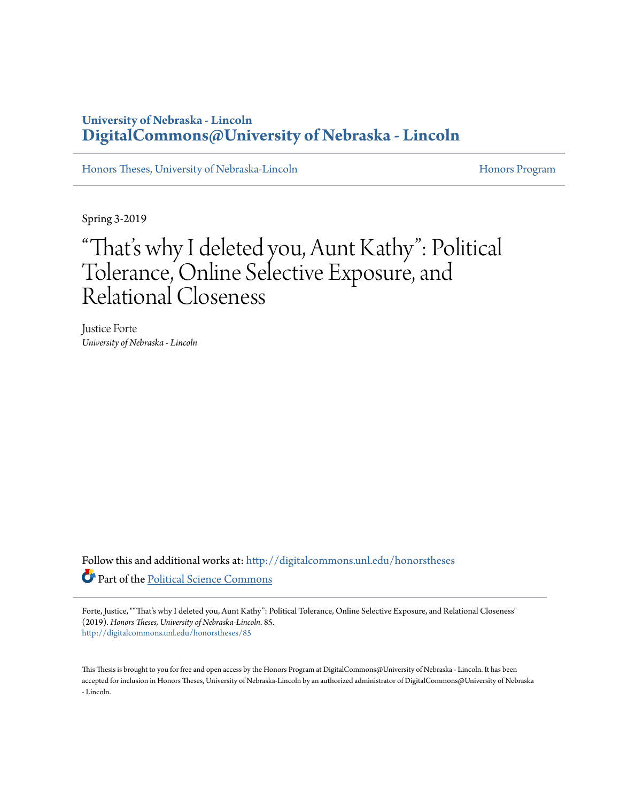# **University of Nebraska - Lincoln [DigitalCommons@University of Nebraska - Lincoln](http://digitalcommons.unl.edu?utm_source=digitalcommons.unl.edu%2Fhonorstheses%2F85&utm_medium=PDF&utm_campaign=PDFCoverPages)**

[Honors Theses, University of Nebraska-Lincoln](http://digitalcommons.unl.edu/honorstheses?utm_source=digitalcommons.unl.edu%2Fhonorstheses%2F85&utm_medium=PDF&utm_campaign=PDFCoverPages) **[Honors Program](http://digitalcommons.unl.edu/honorsprogram?utm_source=digitalcommons.unl.edu%2Fhonorstheses%2F85&utm_medium=PDF&utm_campaign=PDFCoverPages) Honors Program** 

Spring 3-2019

# "That' s why I deleted you, Aunt Kathy": Political Tolerance, Online Selective Exposure, and Relational Closeness

Justice Forte *University of Nebraska - Lincoln*

Follow this and additional works at: [http://digitalcommons.unl.edu/honorstheses](http://digitalcommons.unl.edu/honorstheses?utm_source=digitalcommons.unl.edu%2Fhonorstheses%2F85&utm_medium=PDF&utm_campaign=PDFCoverPages) Part of the [Political Science Commons](http://network.bepress.com/hgg/discipline/386?utm_source=digitalcommons.unl.edu%2Fhonorstheses%2F85&utm_medium=PDF&utm_campaign=PDFCoverPages)

Forte, Justice, ""That's why I deleted you, Aunt Kathy": Political Tolerance, Online Selective Exposure, and Relational Closeness" (2019). *Honors Theses, University of Nebraska-Lincoln*. 85. [http://digitalcommons.unl.edu/honorstheses/85](http://digitalcommons.unl.edu/honorstheses/85?utm_source=digitalcommons.unl.edu%2Fhonorstheses%2F85&utm_medium=PDF&utm_campaign=PDFCoverPages)

This Thesis is brought to you for free and open access by the Honors Program at DigitalCommons@University of Nebraska - Lincoln. It has been accepted for inclusion in Honors Theses, University of Nebraska-Lincoln by an authorized administrator of DigitalCommons@University of Nebraska - Lincoln.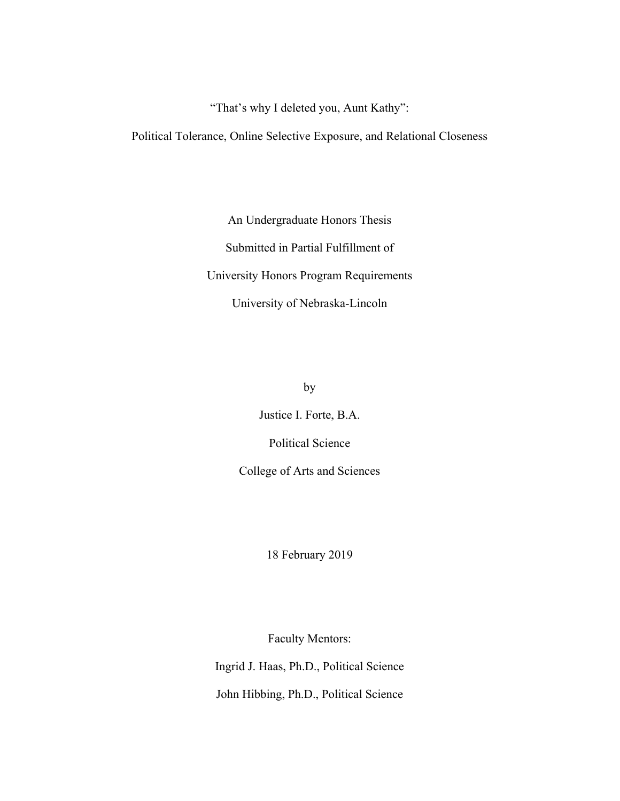"That's why I deleted you, Aunt Kathy":

Political Tolerance, Online Selective Exposure, and Relational Closeness

An Undergraduate Honors Thesis Submitted in Partial Fulfillment of University Honors Program Requirements University of Nebraska-Lincoln

by

Justice I. Forte, B.A. Political Science

College of Arts and Sciences

18 February 2019

Faculty Mentors:

Ingrid J. Haas, Ph.D., Political Science John Hibbing, Ph.D., Political Science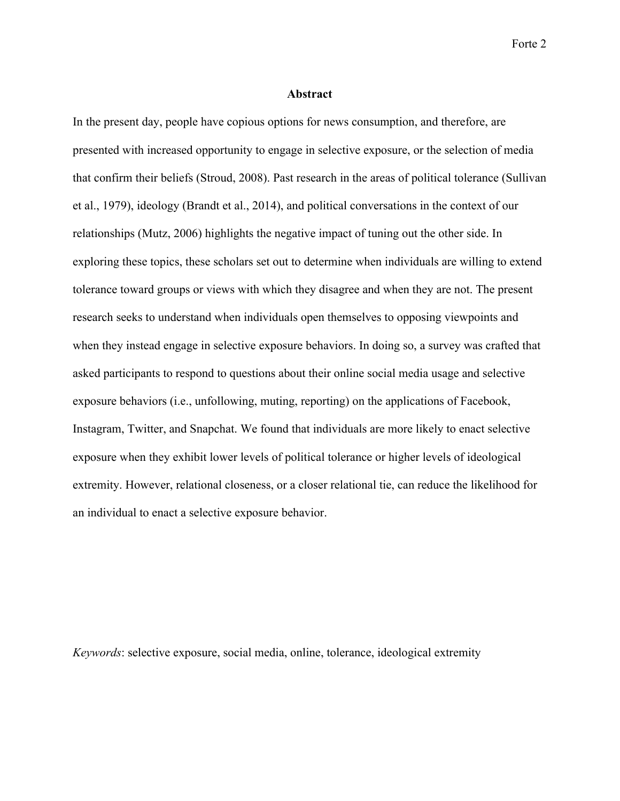#### **Abstract**

In the present day, people have copious options for news consumption, and therefore, are presented with increased opportunity to engage in selective exposure, or the selection of media that confirm their beliefs (Stroud, 2008). Past research in the areas of political tolerance (Sullivan et al., 1979), ideology (Brandt et al., 2014), and political conversations in the context of our relationships (Mutz, 2006) highlights the negative impact of tuning out the other side. In exploring these topics, these scholars set out to determine when individuals are willing to extend tolerance toward groups or views with which they disagree and when they are not. The present research seeks to understand when individuals open themselves to opposing viewpoints and when they instead engage in selective exposure behaviors. In doing so, a survey was crafted that asked participants to respond to questions about their online social media usage and selective exposure behaviors (i.e., unfollowing, muting, reporting) on the applications of Facebook, Instagram, Twitter, and Snapchat. We found that individuals are more likely to enact selective exposure when they exhibit lower levels of political tolerance or higher levels of ideological extremity. However, relational closeness, or a closer relational tie, can reduce the likelihood for an individual to enact a selective exposure behavior.

*Keywords*: selective exposure, social media, online, tolerance, ideological extremity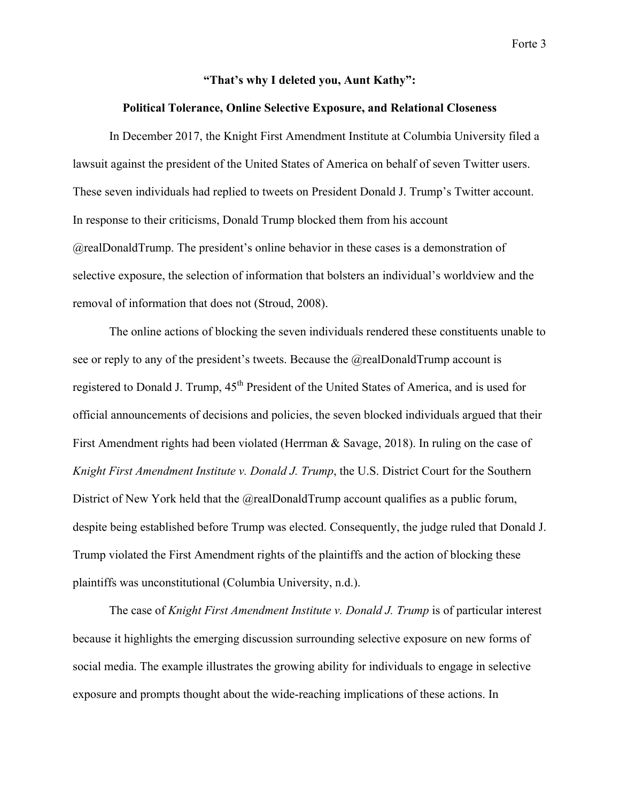## **"That's why I deleted you, Aunt Kathy":**

## **Political Tolerance, Online Selective Exposure, and Relational Closeness**

In December 2017, the Knight First Amendment Institute at Columbia University filed a lawsuit against the president of the United States of America on behalf of seven Twitter users. These seven individuals had replied to tweets on President Donald J. Trump's Twitter account. In response to their criticisms, Donald Trump blocked them from his account @realDonaldTrump. The president's online behavior in these cases is a demonstration of selective exposure, the selection of information that bolsters an individual's worldview and the removal of information that does not (Stroud, 2008).

The online actions of blocking the seven individuals rendered these constituents unable to see or reply to any of the president's tweets. Because the @realDonaldTrump account is registered to Donald J. Trump, 45<sup>th</sup> President of the United States of America, and is used for official announcements of decisions and policies, the seven blocked individuals argued that their First Amendment rights had been violated (Herrman & Savage, 2018). In ruling on the case of *Knight First Amendment Institute v. Donald J. Trump*, the U.S. District Court for the Southern District of New York held that the @realDonaldTrump account qualifies as a public forum, despite being established before Trump was elected. Consequently, the judge ruled that Donald J. Trump violated the First Amendment rights of the plaintiffs and the action of blocking these plaintiffs was unconstitutional (Columbia University, n.d.).

The case of *Knight First Amendment Institute v. Donald J. Trump* is of particular interest because it highlights the emerging discussion surrounding selective exposure on new forms of social media. The example illustrates the growing ability for individuals to engage in selective exposure and prompts thought about the wide-reaching implications of these actions. In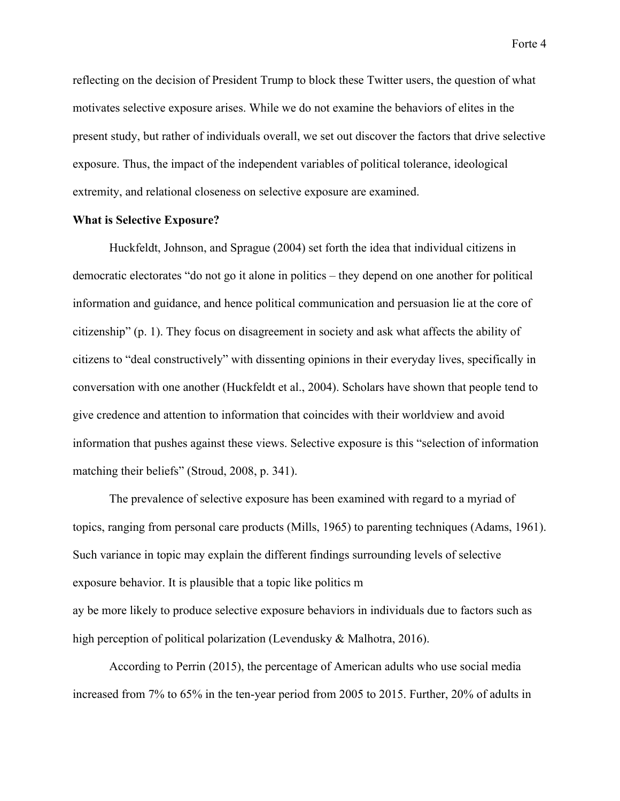reflecting on the decision of President Trump to block these Twitter users, the question of what motivates selective exposure arises. While we do not examine the behaviors of elites in the present study, but rather of individuals overall, we set out discover the factors that drive selective exposure. Thus, the impact of the independent variables of political tolerance, ideological extremity, and relational closeness on selective exposure are examined.

### **What is Selective Exposure?**

Huckfeldt, Johnson, and Sprague (2004) set forth the idea that individual citizens in democratic electorates "do not go it alone in politics – they depend on one another for political information and guidance, and hence political communication and persuasion lie at the core of citizenship" (p. 1). They focus on disagreement in society and ask what affects the ability of citizens to "deal constructively" with dissenting opinions in their everyday lives, specifically in conversation with one another (Huckfeldt et al., 2004). Scholars have shown that people tend to give credence and attention to information that coincides with their worldview and avoid information that pushes against these views. Selective exposure is this "selection of information matching their beliefs" (Stroud, 2008, p. 341).

The prevalence of selective exposure has been examined with regard to a myriad of topics, ranging from personal care products (Mills, 1965) to parenting techniques (Adams, 1961). Such variance in topic may explain the different findings surrounding levels of selective exposure behavior. It is plausible that a topic like politics m ay be more likely to produce selective exposure behaviors in individuals due to factors such as high perception of political polarization (Levendusky & Malhotra, 2016).

According to Perrin (2015), the percentage of American adults who use social media increased from 7% to 65% in the ten-year period from 2005 to 2015. Further, 20% of adults in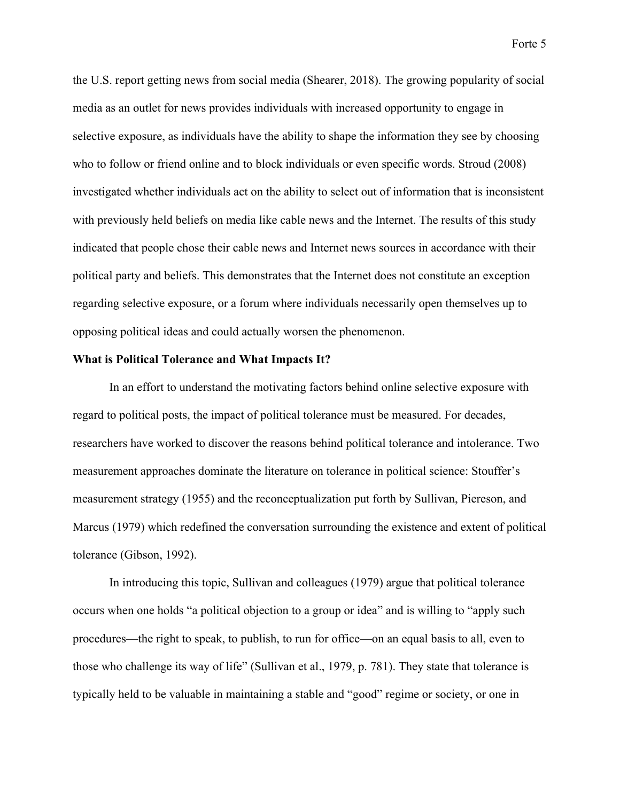the U.S. report getting news from social media (Shearer, 2018). The growing popularity of social media as an outlet for news provides individuals with increased opportunity to engage in selective exposure, as individuals have the ability to shape the information they see by choosing who to follow or friend online and to block individuals or even specific words. Stroud (2008) investigated whether individuals act on the ability to select out of information that is inconsistent with previously held beliefs on media like cable news and the Internet. The results of this study indicated that people chose their cable news and Internet news sources in accordance with their political party and beliefs. This demonstrates that the Internet does not constitute an exception regarding selective exposure, or a forum where individuals necessarily open themselves up to opposing political ideas and could actually worsen the phenomenon.

#### **What is Political Tolerance and What Impacts It?**

In an effort to understand the motivating factors behind online selective exposure with regard to political posts, the impact of political tolerance must be measured. For decades, researchers have worked to discover the reasons behind political tolerance and intolerance. Two measurement approaches dominate the literature on tolerance in political science: Stouffer's measurement strategy (1955) and the reconceptualization put forth by Sullivan, Piereson, and Marcus (1979) which redefined the conversation surrounding the existence and extent of political tolerance (Gibson, 1992).

In introducing this topic, Sullivan and colleagues (1979) argue that political tolerance occurs when one holds "a political objection to a group or idea" and is willing to "apply such procedures—the right to speak, to publish, to run for office—on an equal basis to all, even to those who challenge its way of life" (Sullivan et al., 1979, p. 781). They state that tolerance is typically held to be valuable in maintaining a stable and "good" regime or society, or one in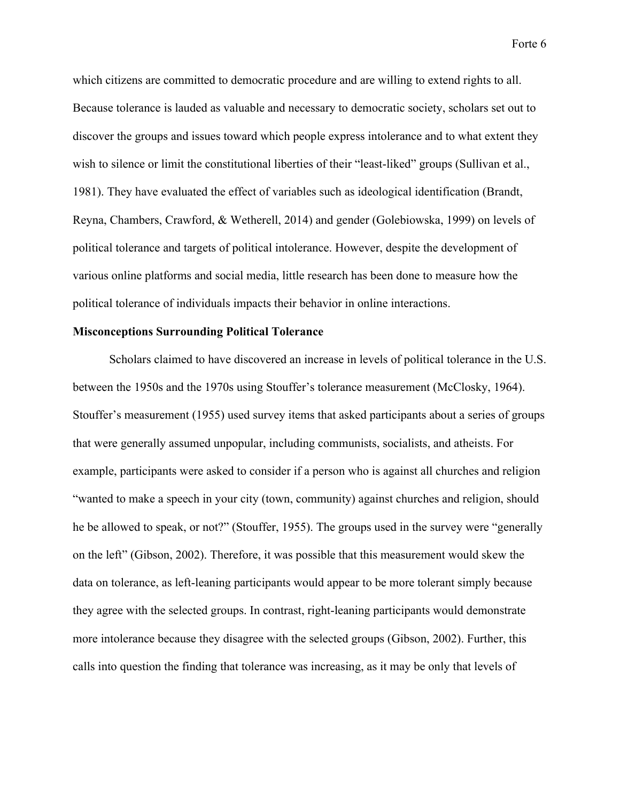which citizens are committed to democratic procedure and are willing to extend rights to all. Because tolerance is lauded as valuable and necessary to democratic society, scholars set out to discover the groups and issues toward which people express intolerance and to what extent they wish to silence or limit the constitutional liberties of their "least-liked" groups (Sullivan et al., 1981). They have evaluated the effect of variables such as ideological identification (Brandt, Reyna, Chambers, Crawford, & Wetherell, 2014) and gender (Golebiowska, 1999) on levels of political tolerance and targets of political intolerance. However, despite the development of various online platforms and social media, little research has been done to measure how the political tolerance of individuals impacts their behavior in online interactions.

# **Misconceptions Surrounding Political Tolerance**

Scholars claimed to have discovered an increase in levels of political tolerance in the U.S. between the 1950s and the 1970s using Stouffer's tolerance measurement (McClosky, 1964). Stouffer's measurement (1955) used survey items that asked participants about a series of groups that were generally assumed unpopular, including communists, socialists, and atheists. For example, participants were asked to consider if a person who is against all churches and religion "wanted to make a speech in your city (town, community) against churches and religion, should he be allowed to speak, or not?" (Stouffer, 1955). The groups used in the survey were "generally on the left" (Gibson, 2002). Therefore, it was possible that this measurement would skew the data on tolerance, as left-leaning participants would appear to be more tolerant simply because they agree with the selected groups. In contrast, right-leaning participants would demonstrate more intolerance because they disagree with the selected groups (Gibson, 2002). Further, this calls into question the finding that tolerance was increasing, as it may be only that levels of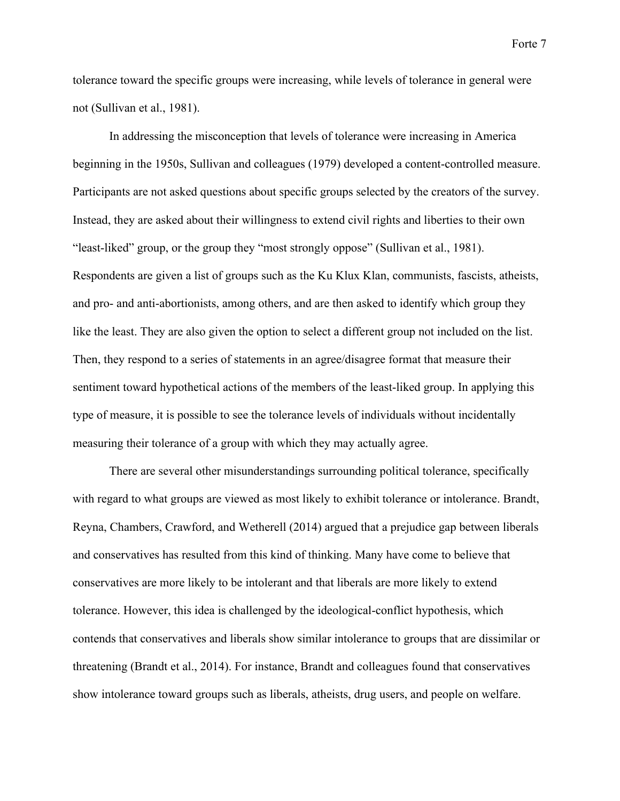tolerance toward the specific groups were increasing, while levels of tolerance in general were not (Sullivan et al., 1981).

In addressing the misconception that levels of tolerance were increasing in America beginning in the 1950s, Sullivan and colleagues (1979) developed a content-controlled measure. Participants are not asked questions about specific groups selected by the creators of the survey. Instead, they are asked about their willingness to extend civil rights and liberties to their own "least-liked" group, or the group they "most strongly oppose" (Sullivan et al., 1981). Respondents are given a list of groups such as the Ku Klux Klan, communists, fascists, atheists, and pro- and anti-abortionists, among others, and are then asked to identify which group they like the least. They are also given the option to select a different group not included on the list. Then, they respond to a series of statements in an agree/disagree format that measure their sentiment toward hypothetical actions of the members of the least-liked group. In applying this type of measure, it is possible to see the tolerance levels of individuals without incidentally measuring their tolerance of a group with which they may actually agree.

There are several other misunderstandings surrounding political tolerance, specifically with regard to what groups are viewed as most likely to exhibit tolerance or intolerance. Brandt, Reyna, Chambers, Crawford, and Wetherell (2014) argued that a prejudice gap between liberals and conservatives has resulted from this kind of thinking. Many have come to believe that conservatives are more likely to be intolerant and that liberals are more likely to extend tolerance. However, this idea is challenged by the ideological-conflict hypothesis, which contends that conservatives and liberals show similar intolerance to groups that are dissimilar or threatening (Brandt et al., 2014). For instance, Brandt and colleagues found that conservatives show intolerance toward groups such as liberals, atheists, drug users, and people on welfare.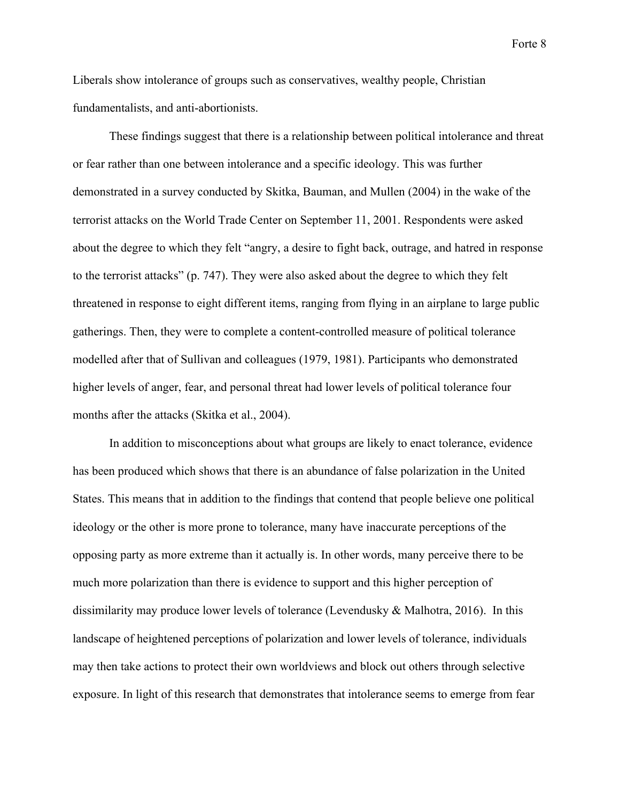Liberals show intolerance of groups such as conservatives, wealthy people, Christian fundamentalists, and anti-abortionists.

These findings suggest that there is a relationship between political intolerance and threat or fear rather than one between intolerance and a specific ideology. This was further demonstrated in a survey conducted by Skitka, Bauman, and Mullen (2004) in the wake of the terrorist attacks on the World Trade Center on September 11, 2001. Respondents were asked about the degree to which they felt "angry, a desire to fight back, outrage, and hatred in response to the terrorist attacks" (p. 747). They were also asked about the degree to which they felt threatened in response to eight different items, ranging from flying in an airplane to large public gatherings. Then, they were to complete a content-controlled measure of political tolerance modelled after that of Sullivan and colleagues (1979, 1981). Participants who demonstrated higher levels of anger, fear, and personal threat had lower levels of political tolerance four months after the attacks (Skitka et al., 2004).

In addition to misconceptions about what groups are likely to enact tolerance, evidence has been produced which shows that there is an abundance of false polarization in the United States. This means that in addition to the findings that contend that people believe one political ideology or the other is more prone to tolerance, many have inaccurate perceptions of the opposing party as more extreme than it actually is. In other words, many perceive there to be much more polarization than there is evidence to support and this higher perception of dissimilarity may produce lower levels of tolerance (Levendusky & Malhotra, 2016). In this landscape of heightened perceptions of polarization and lower levels of tolerance, individuals may then take actions to protect their own worldviews and block out others through selective exposure. In light of this research that demonstrates that intolerance seems to emerge from fear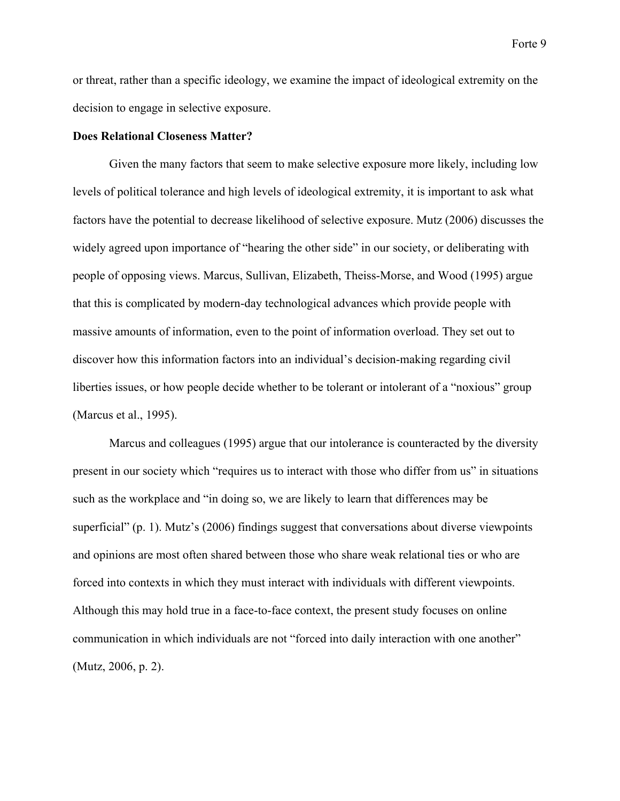or threat, rather than a specific ideology, we examine the impact of ideological extremity on the decision to engage in selective exposure.

#### **Does Relational Closeness Matter?**

Given the many factors that seem to make selective exposure more likely, including low levels of political tolerance and high levels of ideological extremity, it is important to ask what factors have the potential to decrease likelihood of selective exposure. Mutz (2006) discusses the widely agreed upon importance of "hearing the other side" in our society, or deliberating with people of opposing views. Marcus, Sullivan, Elizabeth, Theiss-Morse, and Wood (1995) argue that this is complicated by modern-day technological advances which provide people with massive amounts of information, even to the point of information overload. They set out to discover how this information factors into an individual's decision-making regarding civil liberties issues, or how people decide whether to be tolerant or intolerant of a "noxious" group (Marcus et al., 1995).

Marcus and colleagues (1995) argue that our intolerance is counteracted by the diversity present in our society which "requires us to interact with those who differ from us" in situations such as the workplace and "in doing so, we are likely to learn that differences may be superficial" (p. 1). Mutz's (2006) findings suggest that conversations about diverse viewpoints and opinions are most often shared between those who share weak relational ties or who are forced into contexts in which they must interact with individuals with different viewpoints. Although this may hold true in a face-to-face context, the present study focuses on online communication in which individuals are not "forced into daily interaction with one another" (Mutz, 2006, p. 2).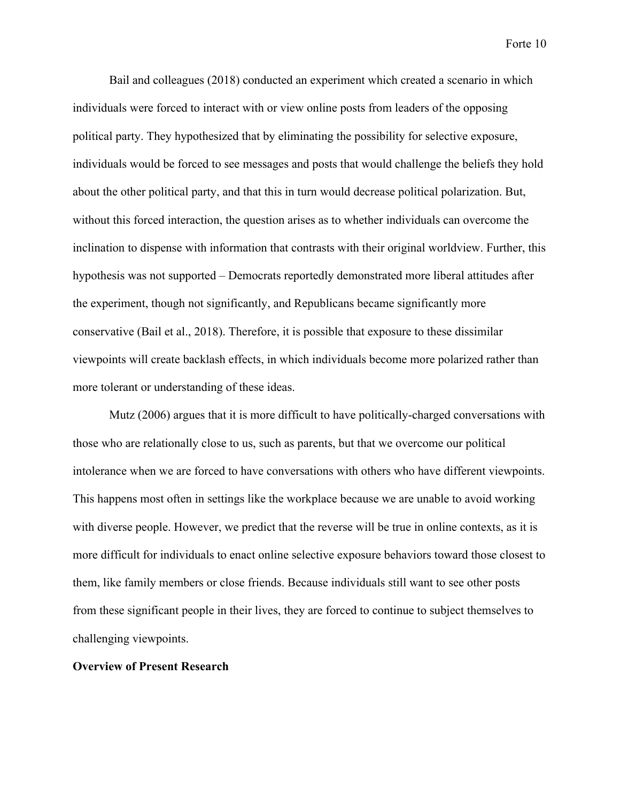Bail and colleagues (2018) conducted an experiment which created a scenario in which individuals were forced to interact with or view online posts from leaders of the opposing political party. They hypothesized that by eliminating the possibility for selective exposure, individuals would be forced to see messages and posts that would challenge the beliefs they hold about the other political party, and that this in turn would decrease political polarization. But, without this forced interaction, the question arises as to whether individuals can overcome the inclination to dispense with information that contrasts with their original worldview. Further, this hypothesis was not supported – Democrats reportedly demonstrated more liberal attitudes after the experiment, though not significantly, and Republicans became significantly more conservative (Bail et al., 2018). Therefore, it is possible that exposure to these dissimilar viewpoints will create backlash effects, in which individuals become more polarized rather than more tolerant or understanding of these ideas.

Mutz (2006) argues that it is more difficult to have politically-charged conversations with those who are relationally close to us, such as parents, but that we overcome our political intolerance when we are forced to have conversations with others who have different viewpoints. This happens most often in settings like the workplace because we are unable to avoid working with diverse people. However, we predict that the reverse will be true in online contexts, as it is more difficult for individuals to enact online selective exposure behaviors toward those closest to them, like family members or close friends. Because individuals still want to see other posts from these significant people in their lives, they are forced to continue to subject themselves to challenging viewpoints.

## **Overview of Present Research**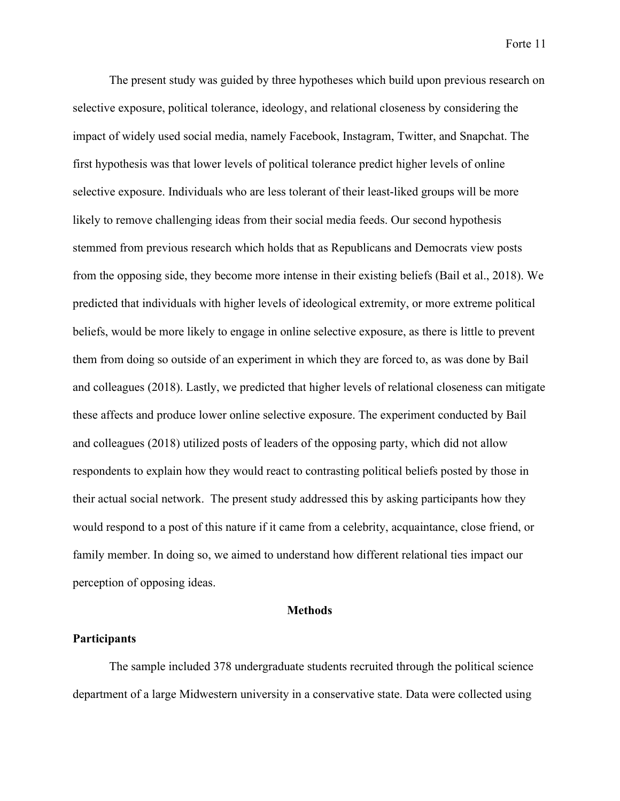The present study was guided by three hypotheses which build upon previous research on selective exposure, political tolerance, ideology, and relational closeness by considering the impact of widely used social media, namely Facebook, Instagram, Twitter, and Snapchat. The first hypothesis was that lower levels of political tolerance predict higher levels of online selective exposure. Individuals who are less tolerant of their least-liked groups will be more likely to remove challenging ideas from their social media feeds. Our second hypothesis stemmed from previous research which holds that as Republicans and Democrats view posts from the opposing side, they become more intense in their existing beliefs (Bail et al., 2018). We predicted that individuals with higher levels of ideological extremity, or more extreme political beliefs, would be more likely to engage in online selective exposure, as there is little to prevent them from doing so outside of an experiment in which they are forced to, as was done by Bail and colleagues (2018). Lastly, we predicted that higher levels of relational closeness can mitigate these affects and produce lower online selective exposure. The experiment conducted by Bail and colleagues (2018) utilized posts of leaders of the opposing party, which did not allow respondents to explain how they would react to contrasting political beliefs posted by those in their actual social network. The present study addressed this by asking participants how they would respond to a post of this nature if it came from a celebrity, acquaintance, close friend, or family member. In doing so, we aimed to understand how different relational ties impact our perception of opposing ideas.

#### **Methods**

### **Participants**

The sample included 378 undergraduate students recruited through the political science department of a large Midwestern university in a conservative state. Data were collected using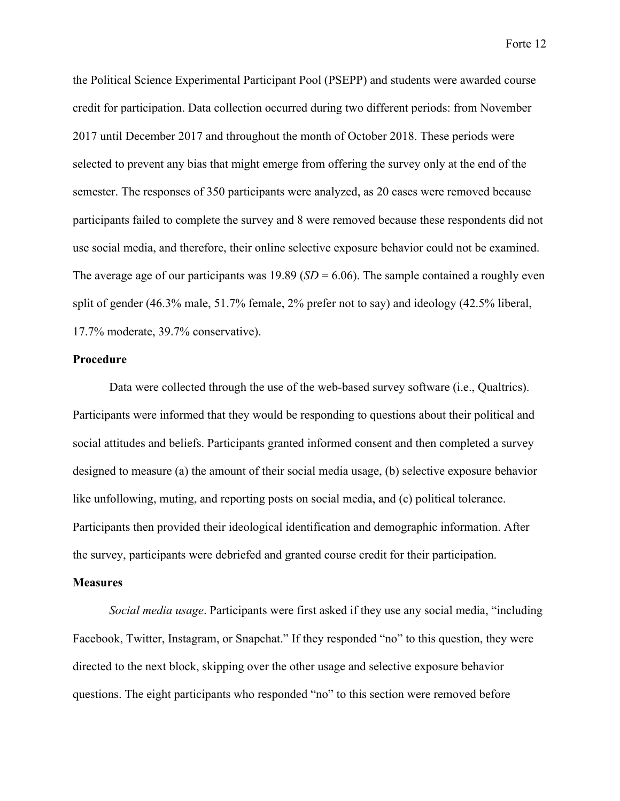the Political Science Experimental Participant Pool (PSEPP) and students were awarded course credit for participation. Data collection occurred during two different periods: from November 2017 until December 2017 and throughout the month of October 2018. These periods were selected to prevent any bias that might emerge from offering the survey only at the end of the semester. The responses of 350 participants were analyzed, as 20 cases were removed because participants failed to complete the survey and 8 were removed because these respondents did not use social media, and therefore, their online selective exposure behavior could not be examined. The average age of our participants was  $19.89$  (*SD* = 6.06). The sample contained a roughly even split of gender (46.3% male, 51.7% female, 2% prefer not to say) and ideology (42.5% liberal, 17.7% moderate, 39.7% conservative).

#### **Procedure**

Data were collected through the use of the web-based survey software (i.e., Qualtrics). Participants were informed that they would be responding to questions about their political and social attitudes and beliefs. Participants granted informed consent and then completed a survey designed to measure (a) the amount of their social media usage, (b) selective exposure behavior like unfollowing, muting, and reporting posts on social media, and (c) political tolerance. Participants then provided their ideological identification and demographic information. After the survey, participants were debriefed and granted course credit for their participation.

#### **Measures**

*Social media usage*. Participants were first asked if they use any social media, "including Facebook, Twitter, Instagram, or Snapchat." If they responded "no" to this question, they were directed to the next block, skipping over the other usage and selective exposure behavior questions. The eight participants who responded "no" to this section were removed before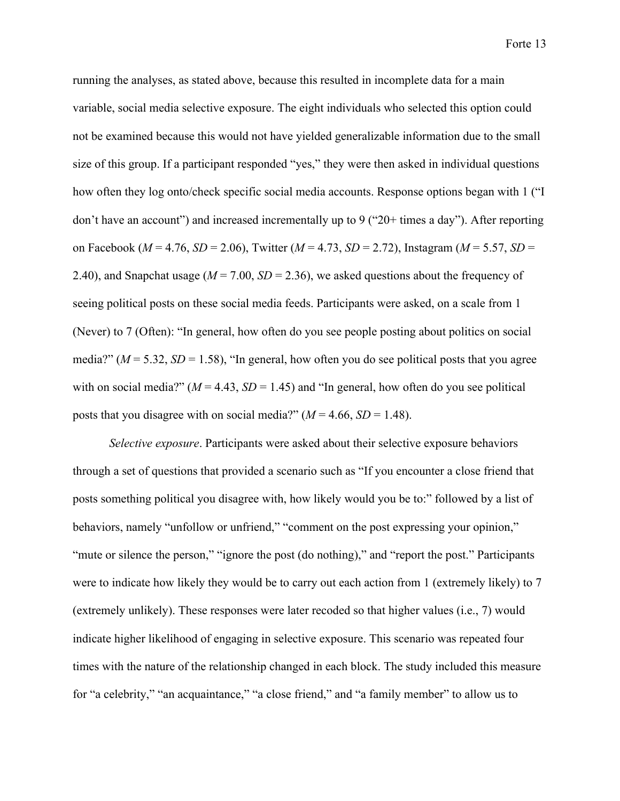running the analyses, as stated above, because this resulted in incomplete data for a main variable, social media selective exposure. The eight individuals who selected this option could not be examined because this would not have yielded generalizable information due to the small size of this group. If a participant responded "yes," they were then asked in individual questions how often they log onto/check specific social media accounts. Response options began with 1 ("I don't have an account") and increased incrementally up to 9 (" $20+$  times a day"). After reporting on Facebook (*M* = 4.76, *SD* = 2.06), Twitter (*M* = 4.73, *SD* = 2.72), Instagram (*M* = 5.57, *SD* = 2.40), and Snapchat usage ( $M = 7.00$ ,  $SD = 2.36$ ), we asked questions about the frequency of seeing political posts on these social media feeds. Participants were asked, on a scale from 1 (Never) to 7 (Often): "In general, how often do you see people posting about politics on social media?" ( $M = 5.32$ ,  $SD = 1.58$ ), "In general, how often you do see political posts that you agree with on social media?"  $(M = 4.43, SD = 1.45)$  and "In general, how often do you see political posts that you disagree with on social media?"  $(M = 4.66, SD = 1.48)$ .

*Selective exposure*. Participants were asked about their selective exposure behaviors through a set of questions that provided a scenario such as "If you encounter a close friend that posts something political you disagree with, how likely would you be to:" followed by a list of behaviors, namely "unfollow or unfriend," "comment on the post expressing your opinion," "mute or silence the person," "ignore the post (do nothing)," and "report the post." Participants were to indicate how likely they would be to carry out each action from 1 (extremely likely) to 7 (extremely unlikely). These responses were later recoded so that higher values (i.e., 7) would indicate higher likelihood of engaging in selective exposure. This scenario was repeated four times with the nature of the relationship changed in each block. The study included this measure for "a celebrity," "an acquaintance," "a close friend," and "a family member" to allow us to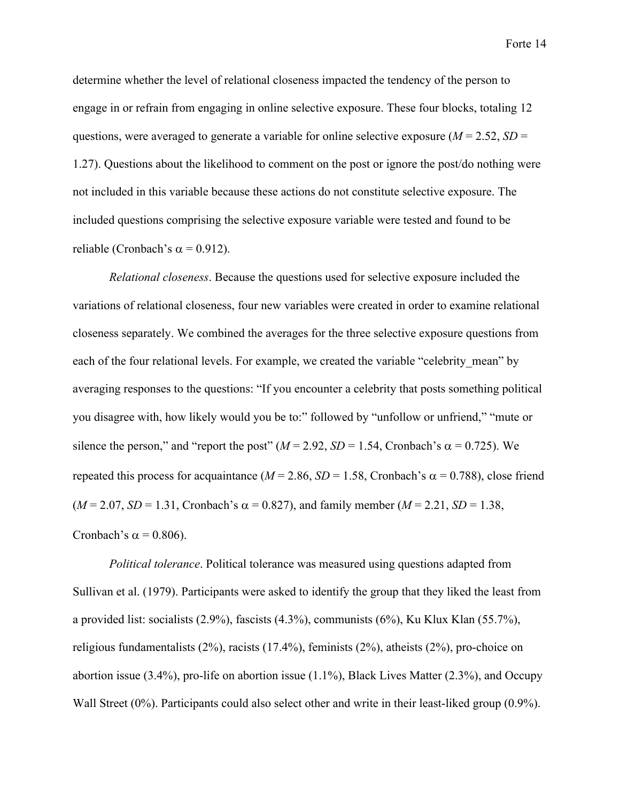determine whether the level of relational closeness impacted the tendency of the person to engage in or refrain from engaging in online selective exposure. These four blocks, totaling 12 questions, were averaged to generate a variable for online selective exposure ( $M = 2.52$ ,  $SD =$ 1.27). Questions about the likelihood to comment on the post or ignore the post/do nothing were not included in this variable because these actions do not constitute selective exposure. The included questions comprising the selective exposure variable were tested and found to be reliable (Cronbach's  $\alpha$  = 0.912).

*Relational closeness*. Because the questions used for selective exposure included the variations of relational closeness, four new variables were created in order to examine relational closeness separately. We combined the averages for the three selective exposure questions from each of the four relational levels. For example, we created the variable "celebrity mean" by averaging responses to the questions: "If you encounter a celebrity that posts something political you disagree with, how likely would you be to:" followed by "unfollow or unfriend," "mute or silence the person," and "report the post" ( $M = 2.92$ ,  $SD = 1.54$ , Cronbach's  $\alpha = 0.725$ ). We repeated this process for acquaintance ( $M = 2.86$ ,  $SD = 1.58$ , Cronbach's  $\alpha = 0.788$ ), close friend  $(M = 2.07, SD = 1.31, Cronbach's \alpha = 0.827)$ , and family member  $(M = 2.21, SD = 1.38)$ , Cronbach's  $\alpha$  = 0.806).

*Political tolerance*. Political tolerance was measured using questions adapted from Sullivan et al. (1979). Participants were asked to identify the group that they liked the least from a provided list: socialists (2.9%), fascists (4.3%), communists (6%), Ku Klux Klan (55.7%), religious fundamentalists (2%), racists (17.4%), feminists (2%), atheists (2%), pro-choice on abortion issue  $(3.4\%)$ , pro-life on abortion issue  $(1.1\%)$ , Black Lives Matter  $(2.3\%)$ , and Occupy Wall Street (0%). Participants could also select other and write in their least-liked group (0.9%).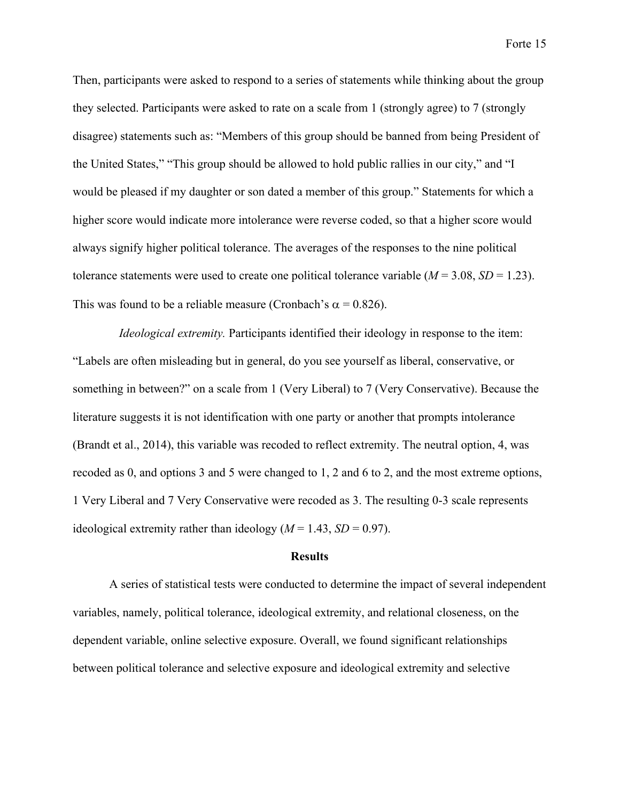Then, participants were asked to respond to a series of statements while thinking about the group they selected. Participants were asked to rate on a scale from 1 (strongly agree) to 7 (strongly disagree) statements such as: "Members of this group should be banned from being President of the United States," "This group should be allowed to hold public rallies in our city," and "I would be pleased if my daughter or son dated a member of this group." Statements for which a higher score would indicate more intolerance were reverse coded, so that a higher score would always signify higher political tolerance. The averages of the responses to the nine political tolerance statements were used to create one political tolerance variable  $(M = 3.08, SD = 1.23)$ . This was found to be a reliable measure (Cronbach's  $\alpha$  = 0.826).

*Ideological extremity.* Participants identified their ideology in response to the item: "Labels are often misleading but in general, do you see yourself as liberal, conservative, or something in between?" on a scale from 1 (Very Liberal) to 7 (Very Conservative). Because the literature suggests it is not identification with one party or another that prompts intolerance (Brandt et al., 2014), this variable was recoded to reflect extremity. The neutral option, 4, was recoded as 0, and options 3 and 5 were changed to 1, 2 and 6 to 2, and the most extreme options, 1 Very Liberal and 7 Very Conservative were recoded as 3. The resulting 0-3 scale represents ideological extremity rather than ideology  $(M = 1.43, SD = 0.97)$ .

# **Results**

A series of statistical tests were conducted to determine the impact of several independent variables, namely, political tolerance, ideological extremity, and relational closeness, on the dependent variable, online selective exposure. Overall, we found significant relationships between political tolerance and selective exposure and ideological extremity and selective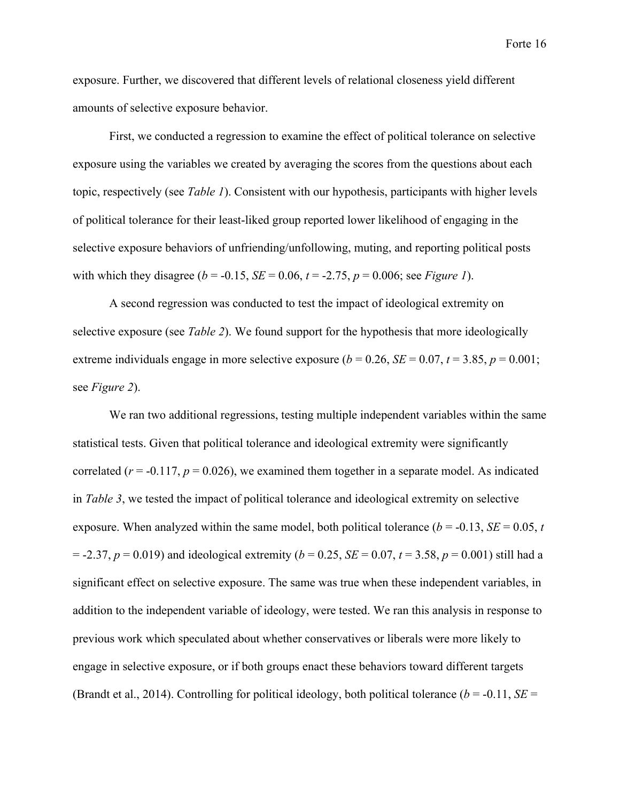exposure. Further, we discovered that different levels of relational closeness yield different amounts of selective exposure behavior.

First, we conducted a regression to examine the effect of political tolerance on selective exposure using the variables we created by averaging the scores from the questions about each topic, respectively (see *Table 1*). Consistent with our hypothesis, participants with higher levels of political tolerance for their least-liked group reported lower likelihood of engaging in the selective exposure behaviors of unfriending/unfollowing, muting, and reporting political posts with which they disagree ( $b = -0.15$ ,  $SE = 0.06$ ,  $t = -2.75$ ,  $p = 0.006$ ; see *Figure 1*).

A second regression was conducted to test the impact of ideological extremity on selective exposure (see *Table 2*). We found support for the hypothesis that more ideologically extreme individuals engage in more selective exposure  $(b = 0.26, SE = 0.07, t = 3.85, p = 0.001$ ; see *Figure 2*).

We ran two additional regressions, testing multiple independent variables within the same statistical tests. Given that political tolerance and ideological extremity were significantly correlated ( $r = -0.117$ ,  $p = 0.026$ ), we examined them together in a separate model. As indicated in *Table 3*, we tested the impact of political tolerance and ideological extremity on selective exposure. When analyzed within the same model, both political tolerance  $(b = -0.13, SE = 0.05, t)$  $= -2.37, p = 0.019$  and ideological extremity ( $b = 0.25$ , *SE* = 0.07,  $t = 3.58, p = 0.001$ ) still had a significant effect on selective exposure. The same was true when these independent variables, in addition to the independent variable of ideology, were tested. We ran this analysis in response to previous work which speculated about whether conservatives or liberals were more likely to engage in selective exposure, or if both groups enact these behaviors toward different targets (Brandt et al., 2014). Controlling for political ideology, both political tolerance ( $b = -0.11$ ,  $SE =$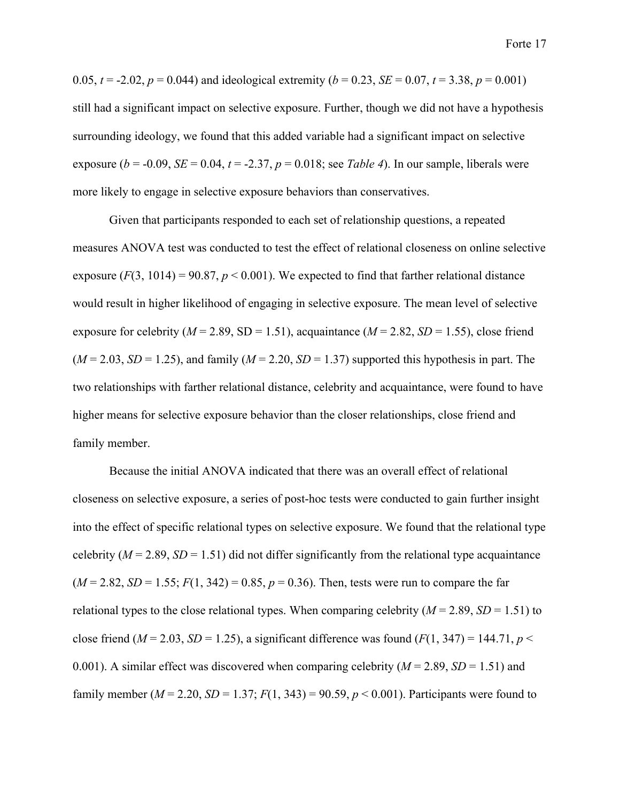0.05,  $t = -2.02$ ,  $p = 0.044$ ) and ideological extremity ( $b = 0.23$ ,  $SE = 0.07$ ,  $t = 3.38$ ,  $p = 0.001$ ) still had a significant impact on selective exposure. Further, though we did not have a hypothesis surrounding ideology, we found that this added variable had a significant impact on selective exposure ( $b = -0.09$ , *SE* = 0.04,  $t = -2.37$ ,  $p = 0.018$ ; see *Table 4*). In our sample, liberals were more likely to engage in selective exposure behaviors than conservatives.

Given that participants responded to each set of relationship questions, a repeated measures ANOVA test was conducted to test the effect of relational closeness on online selective exposure  $(F(3, 1014) = 90.87, p < 0.001)$ . We expected to find that farther relational distance would result in higher likelihood of engaging in selective exposure. The mean level of selective exposure for celebrity ( $M = 2.89$ , SD = 1.51), acquaintance ( $M = 2.82$ , SD = 1.55), close friend  $(M = 2.03, SD = 1.25)$ , and family  $(M = 2.20, SD = 1.37)$  supported this hypothesis in part. The two relationships with farther relational distance, celebrity and acquaintance, were found to have higher means for selective exposure behavior than the closer relationships, close friend and family member.

Because the initial ANOVA indicated that there was an overall effect of relational closeness on selective exposure, a series of post-hoc tests were conducted to gain further insight into the effect of specific relational types on selective exposure. We found that the relational type celebrity ( $M = 2.89$ ,  $SD = 1.51$ ) did not differ significantly from the relational type acquaintance  $(M = 2.82, SD = 1.55; F(1, 342) = 0.85, p = 0.36$ . Then, tests were run to compare the far relational types to the close relational types. When comparing celebrity  $(M = 2.89, SD = 1.51)$  to close friend  $(M = 2.03, SD = 1.25)$ , a significant difference was found  $(F(1, 347) = 144.71, p <$ 0.001). A similar effect was discovered when comparing celebrity  $(M = 2.89, SD = 1.51)$  and family member ( $M = 2.20$ ,  $SD = 1.37$ ;  $F(1, 343) = 90.59$ ,  $p < 0.001$ ). Participants were found to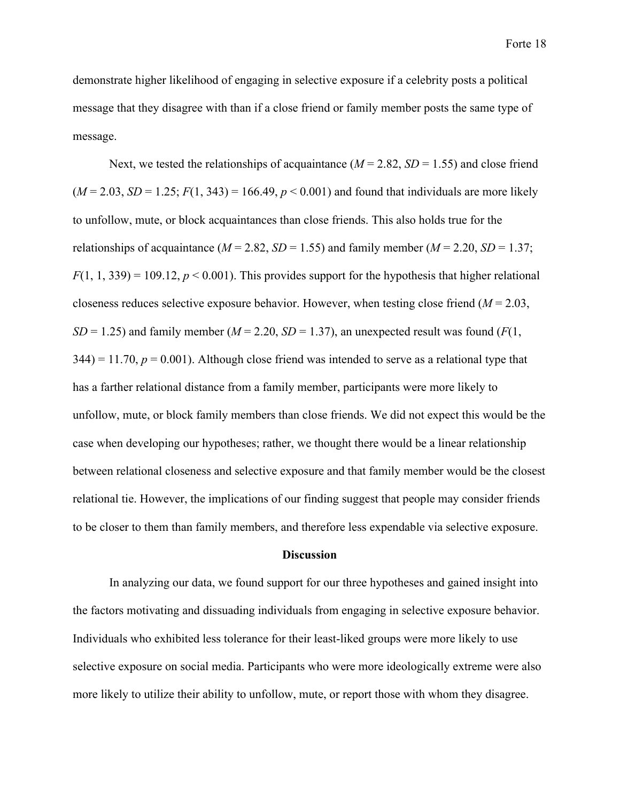demonstrate higher likelihood of engaging in selective exposure if a celebrity posts a political message that they disagree with than if a close friend or family member posts the same type of message.

Next, we tested the relationships of acquaintance  $(M = 2.82, SD = 1.55)$  and close friend  $(M = 2.03, SD = 1.25; F(1, 343) = 166.49, p < 0.001$  and found that individuals are more likely to unfollow, mute, or block acquaintances than close friends. This also holds true for the relationships of acquaintance ( $M = 2.82$ ,  $SD = 1.55$ ) and family member ( $M = 2.20$ ,  $SD = 1.37$ ;  $F(1, 1, 339) = 109.12, p < 0.001$ . This provides support for the hypothesis that higher relational closeness reduces selective exposure behavior. However, when testing close friend (*M* = 2.03, *SD* = 1.25) and family member ( $M = 2.20$ , *SD* = 1.37), an unexpected result was found ( $F(1)$ ,  $344$ ) = 11.70,  $p = 0.001$ ). Although close friend was intended to serve as a relational type that has a farther relational distance from a family member, participants were more likely to unfollow, mute, or block family members than close friends. We did not expect this would be the case when developing our hypotheses; rather, we thought there would be a linear relationship between relational closeness and selective exposure and that family member would be the closest relational tie. However, the implications of our finding suggest that people may consider friends to be closer to them than family members, and therefore less expendable via selective exposure.

#### **Discussion**

In analyzing our data, we found support for our three hypotheses and gained insight into the factors motivating and dissuading individuals from engaging in selective exposure behavior. Individuals who exhibited less tolerance for their least-liked groups were more likely to use selective exposure on social media. Participants who were more ideologically extreme were also more likely to utilize their ability to unfollow, mute, or report those with whom they disagree.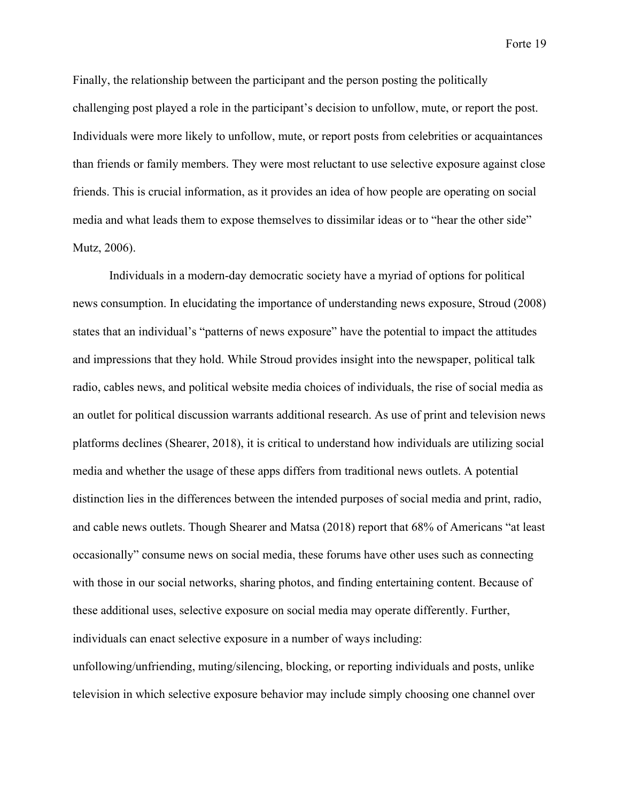Finally, the relationship between the participant and the person posting the politically challenging post played a role in the participant's decision to unfollow, mute, or report the post. Individuals were more likely to unfollow, mute, or report posts from celebrities or acquaintances than friends or family members. They were most reluctant to use selective exposure against close friends. This is crucial information, as it provides an idea of how people are operating on social media and what leads them to expose themselves to dissimilar ideas or to "hear the other side" Mutz, 2006).

Individuals in a modern-day democratic society have a myriad of options for political news consumption. In elucidating the importance of understanding news exposure, Stroud (2008) states that an individual's "patterns of news exposure" have the potential to impact the attitudes and impressions that they hold. While Stroud provides insight into the newspaper, political talk radio, cables news, and political website media choices of individuals, the rise of social media as an outlet for political discussion warrants additional research. As use of print and television news platforms declines (Shearer, 2018), it is critical to understand how individuals are utilizing social media and whether the usage of these apps differs from traditional news outlets. A potential distinction lies in the differences between the intended purposes of social media and print, radio, and cable news outlets. Though Shearer and Matsa (2018) report that 68% of Americans "at least occasionally" consume news on social media, these forums have other uses such as connecting with those in our social networks, sharing photos, and finding entertaining content. Because of these additional uses, selective exposure on social media may operate differently. Further, individuals can enact selective exposure in a number of ways including:

unfollowing/unfriending, muting/silencing, blocking, or reporting individuals and posts, unlike television in which selective exposure behavior may include simply choosing one channel over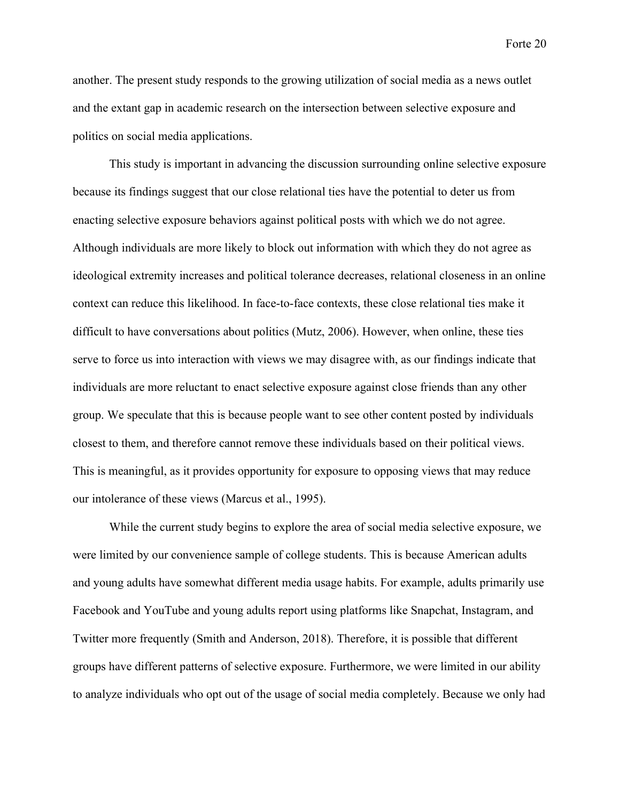another. The present study responds to the growing utilization of social media as a news outlet and the extant gap in academic research on the intersection between selective exposure and politics on social media applications.

This study is important in advancing the discussion surrounding online selective exposure because its findings suggest that our close relational ties have the potential to deter us from enacting selective exposure behaviors against political posts with which we do not agree. Although individuals are more likely to block out information with which they do not agree as ideological extremity increases and political tolerance decreases, relational closeness in an online context can reduce this likelihood. In face-to-face contexts, these close relational ties make it difficult to have conversations about politics (Mutz, 2006). However, when online, these ties serve to force us into interaction with views we may disagree with, as our findings indicate that individuals are more reluctant to enact selective exposure against close friends than any other group. We speculate that this is because people want to see other content posted by individuals closest to them, and therefore cannot remove these individuals based on their political views. This is meaningful, as it provides opportunity for exposure to opposing views that may reduce our intolerance of these views (Marcus et al., 1995).

While the current study begins to explore the area of social media selective exposure, we were limited by our convenience sample of college students. This is because American adults and young adults have somewhat different media usage habits. For example, adults primarily use Facebook and YouTube and young adults report using platforms like Snapchat, Instagram, and Twitter more frequently (Smith and Anderson, 2018). Therefore, it is possible that different groups have different patterns of selective exposure. Furthermore, we were limited in our ability to analyze individuals who opt out of the usage of social media completely. Because we only had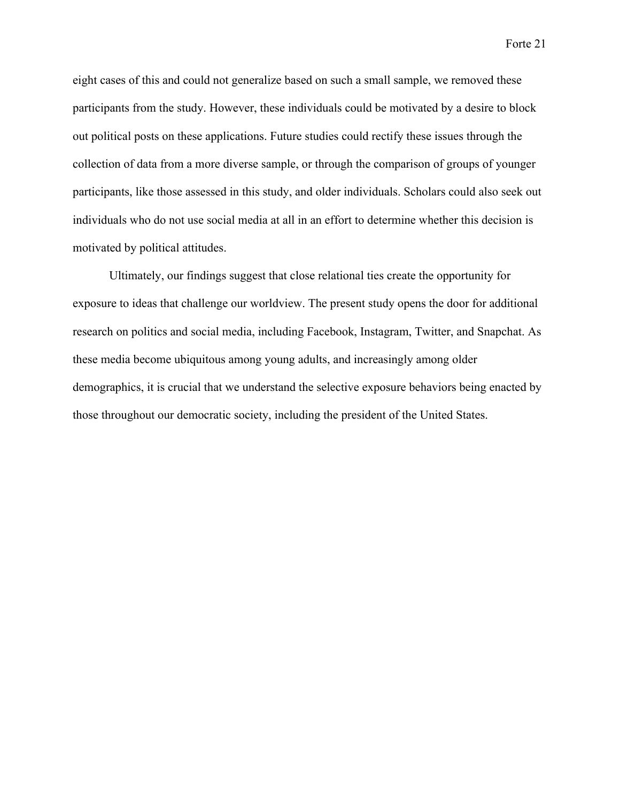eight cases of this and could not generalize based on such a small sample, we removed these participants from the study. However, these individuals could be motivated by a desire to block out political posts on these applications. Future studies could rectify these issues through the collection of data from a more diverse sample, or through the comparison of groups of younger participants, like those assessed in this study, and older individuals. Scholars could also seek out individuals who do not use social media at all in an effort to determine whether this decision is motivated by political attitudes.

Ultimately, our findings suggest that close relational ties create the opportunity for exposure to ideas that challenge our worldview. The present study opens the door for additional research on politics and social media, including Facebook, Instagram, Twitter, and Snapchat. As these media become ubiquitous among young adults, and increasingly among older demographics, it is crucial that we understand the selective exposure behaviors being enacted by those throughout our democratic society, including the president of the United States.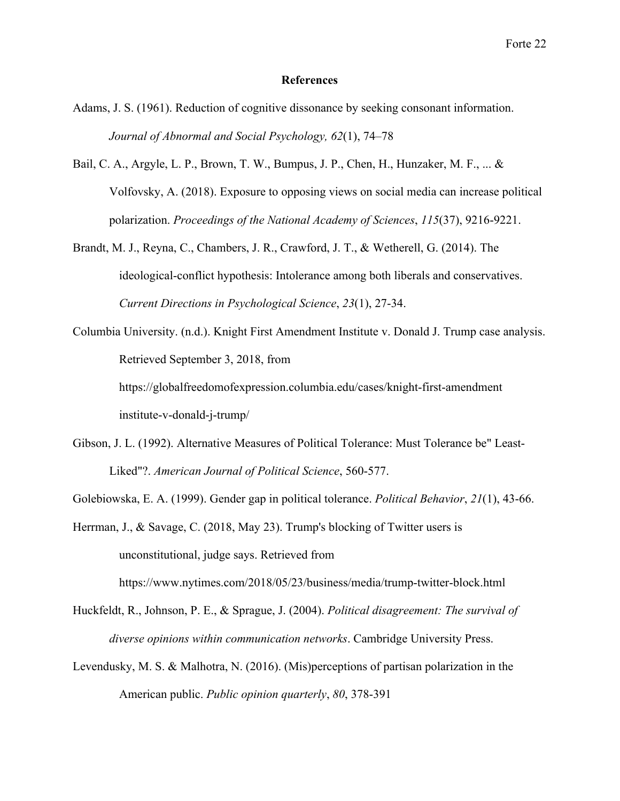#### **References**

- Adams, J. S. (1961). Reduction of cognitive dissonance by seeking consonant information. *Journal of Abnormal and Social Psychology, 62*(1), 74–78
- Bail, C. A., Argyle, L. P., Brown, T. W., Bumpus, J. P., Chen, H., Hunzaker, M. F., ... & Volfovsky, A. (2018). Exposure to opposing views on social media can increase political polarization. *Proceedings of the National Academy of Sciences*, *115*(37), 9216-9221.
- Brandt, M. J., Reyna, C., Chambers, J. R., Crawford, J. T., & Wetherell, G. (2014). The ideological-conflict hypothesis: Intolerance among both liberals and conservatives. *Current Directions in Psychological Science*, *23*(1), 27-34.
- Columbia University. (n.d.). Knight First Amendment Institute v. Donald J. Trump case analysis. Retrieved September 3, 2018, from https://globalfreedomofexpression.columbia.edu/cases/knight-first-amendment institute-v-donald-j-trump/
- Gibson, J. L. (1992). Alternative Measures of Political Tolerance: Must Tolerance be" Least-Liked"?. *American Journal of Political Science*, 560-577.
- Golebiowska, E. A. (1999). Gender gap in political tolerance. *Political Behavior*, *21*(1), 43-66.
- Herrman, J., & Savage, C. (2018, May 23). Trump's blocking of Twitter users is unconstitutional, judge says. Retrieved from

https://www.nytimes.com/2018/05/23/business/media/trump-twitter-block.html

- Huckfeldt, R., Johnson, P. E., & Sprague, J. (2004). *Political disagreement: The survival of diverse opinions within communication networks*. Cambridge University Press.
- Levendusky, M. S. & Malhotra, N. (2016). (Mis)perceptions of partisan polarization in the American public. *Public opinion quarterly*, *80*, 378-391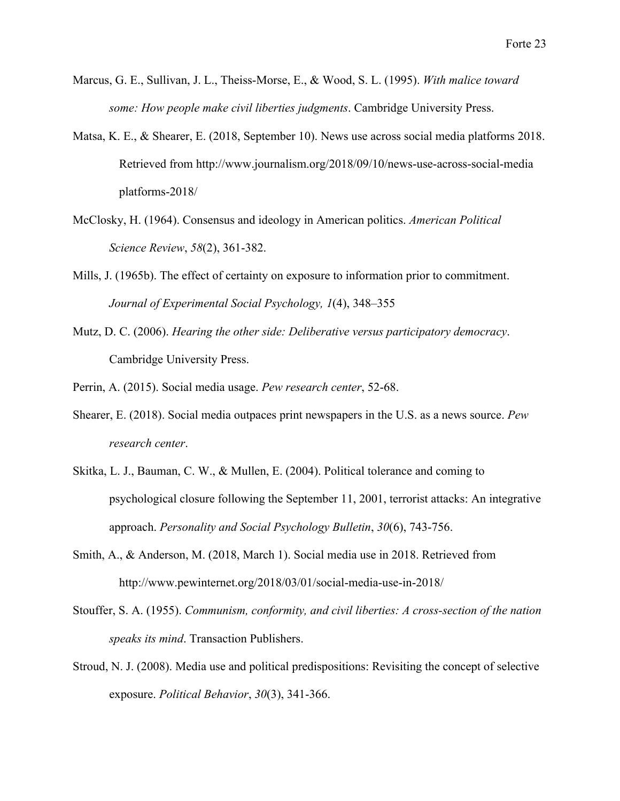- Marcus, G. E., Sullivan, J. L., Theiss-Morse, E., & Wood, S. L. (1995). *With malice toward some: How people make civil liberties judgments*. Cambridge University Press.
- Matsa, K. E., & Shearer, E. (2018, September 10). News use across social media platforms 2018. Retrieved from http://www.journalism.org/2018/09/10/news-use-across-social-media platforms-2018/
- McClosky, H. (1964). Consensus and ideology in American politics. *American Political Science Review*, *58*(2), 361-382.
- Mills, J. (1965b). The effect of certainty on exposure to information prior to commitment. *Journal of Experimental Social Psychology, 1*(4), 348–355
- Mutz, D. C. (2006). *Hearing the other side: Deliberative versus participatory democracy*. Cambridge University Press.
- Perrin, A. (2015). Social media usage. *Pew research center*, 52-68.
- Shearer, E. (2018). Social media outpaces print newspapers in the U.S. as a news source. *Pew research center*.
- Skitka, L. J., Bauman, C. W., & Mullen, E. (2004). Political tolerance and coming to psychological closure following the September 11, 2001, terrorist attacks: An integrative approach. *Personality and Social Psychology Bulletin*, *30*(6), 743-756.
- Smith, A., & Anderson, M. (2018, March 1). Social media use in 2018. Retrieved from http://www.pewinternet.org/2018/03/01/social-media-use-in-2018/
- Stouffer, S. A. (1955). *Communism, conformity, and civil liberties: A cross-section of the nation speaks its mind*. Transaction Publishers.
- Stroud, N. J. (2008). Media use and political predispositions: Revisiting the concept of selective exposure. *Political Behavior*, *30*(3), 341-366.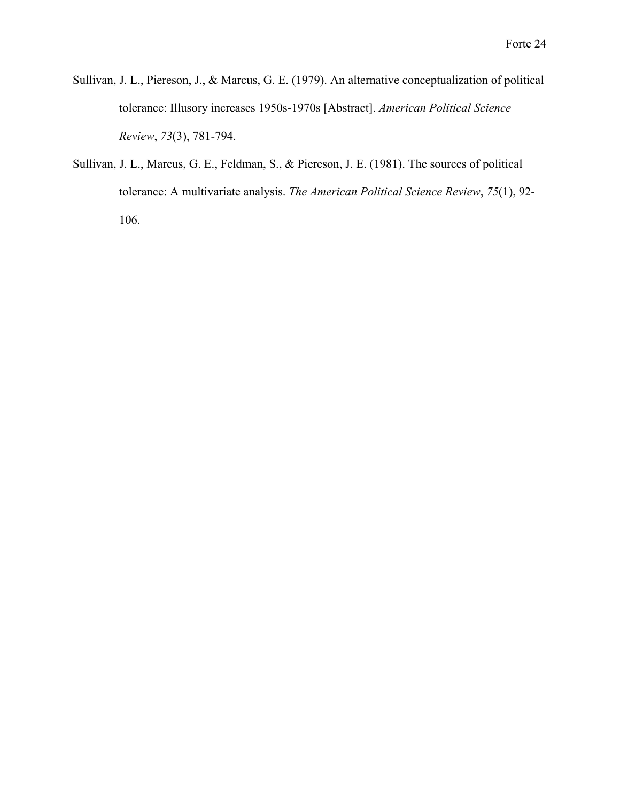- Sullivan, J. L., Piereson, J., & Marcus, G. E. (1979). An alternative conceptualization of political tolerance: Illusory increases 1950s-1970s [Abstract]. *American Political Science Review*, *73*(3), 781-794.
- Sullivan, J. L., Marcus, G. E., Feldman, S., & Piereson, J. E. (1981). The sources of political tolerance: A multivariate analysis. *The American Political Science Review*, *75*(1), 92- 106.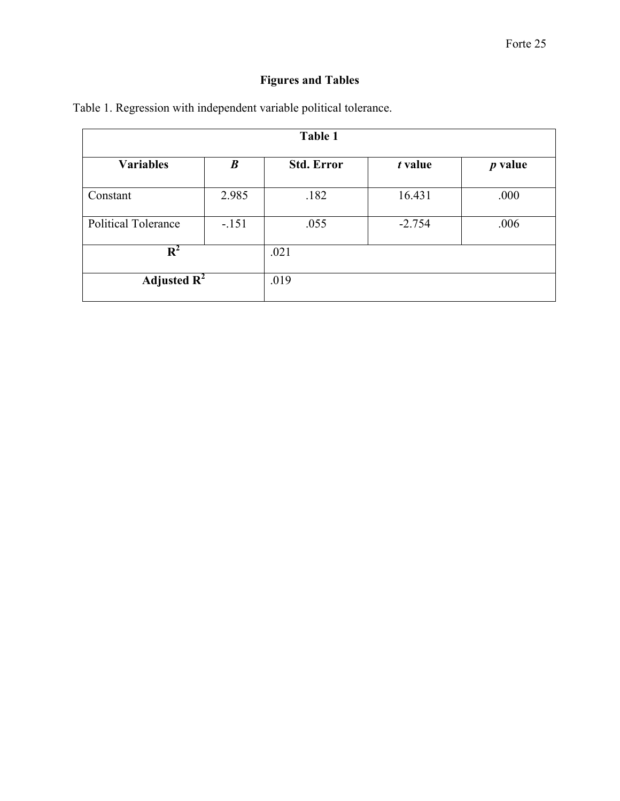# **Figures and Tables**

| Table 1                    |                  |                   |          |           |  |
|----------------------------|------------------|-------------------|----------|-----------|--|
| <b>Variables</b>           | $\boldsymbol{B}$ | <b>Std. Error</b> | t value  | $p$ value |  |
| Constant                   | 2.985            | .182              | 16.431   | .000      |  |
| <b>Political Tolerance</b> | $-151$           | .055              | $-2.754$ | .006      |  |
| $\mathbf{R}^2$             |                  | .021              |          |           |  |
| Adjusted $\mathbf{R}^2$    |                  | .019              |          |           |  |

Table 1. Regression with independent variable political tolerance.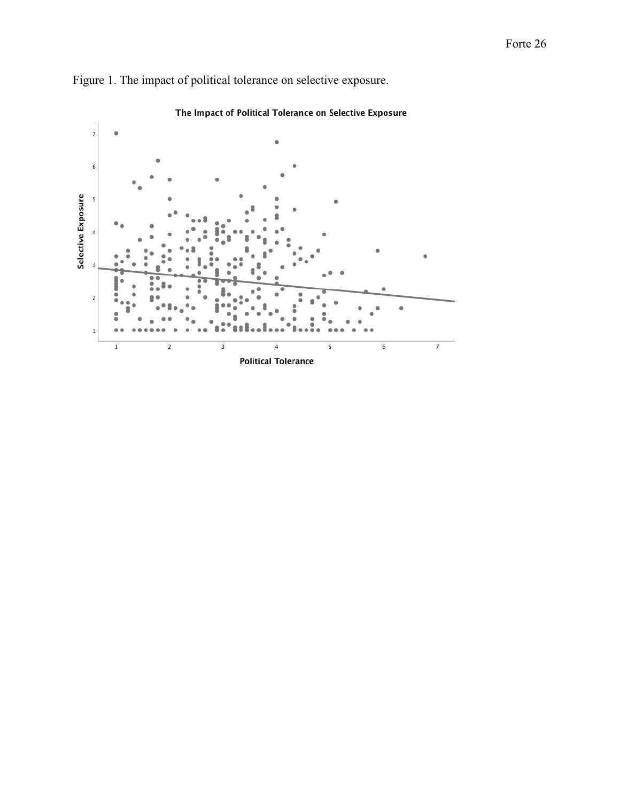

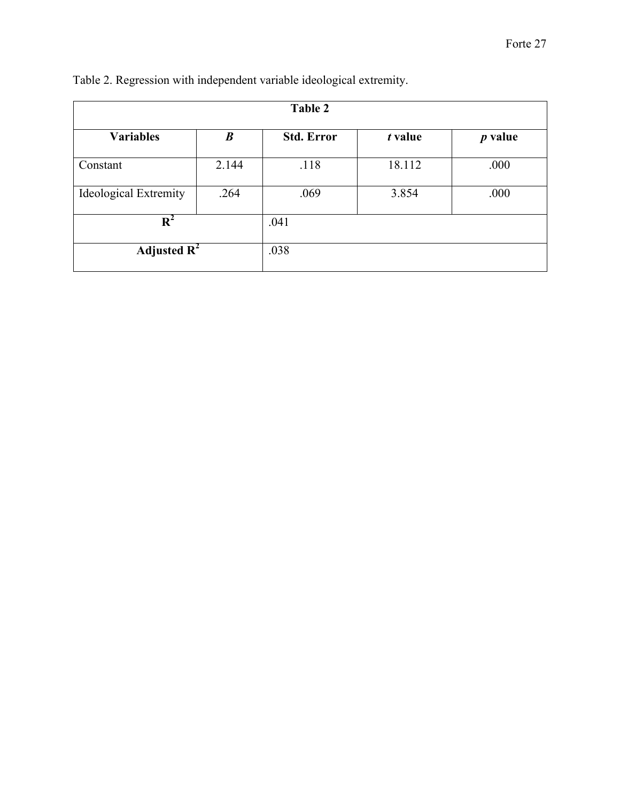| <b>Table 2</b>               |                  |                   |         |           |  |
|------------------------------|------------------|-------------------|---------|-----------|--|
| <b>Variables</b>             | $\boldsymbol{B}$ | <b>Std. Error</b> | t value | $p$ value |  |
| Constant                     | 2.144            | .118              | 18.112  | .000      |  |
| <b>Ideological Extremity</b> | .264             | .069              | 3.854   | .000      |  |
| $\mathbf{R}^2$               |                  | .041              |         |           |  |
| Adjusted $\overline{R^2}$    |                  | .038              |         |           |  |

| Table 2. Regression with independent variable ideological extremity. |  |  |  |
|----------------------------------------------------------------------|--|--|--|
|                                                                      |  |  |  |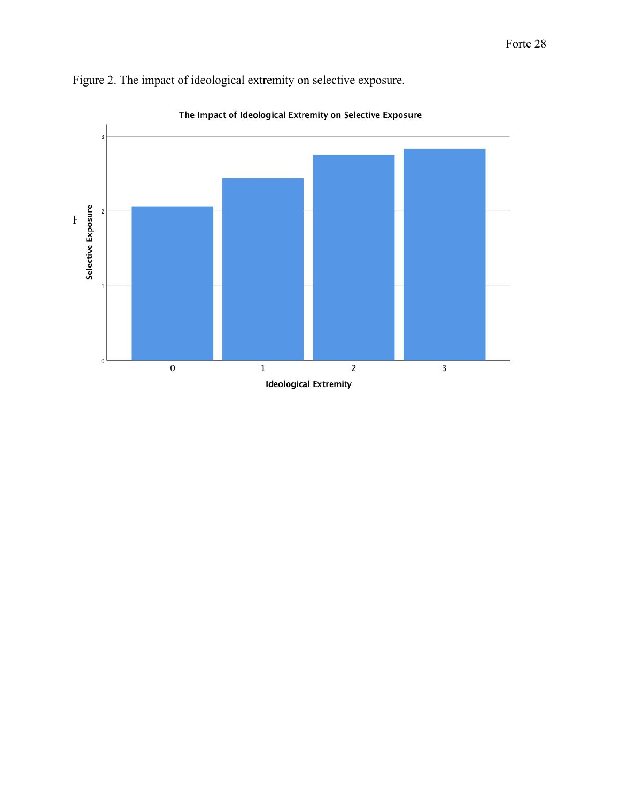

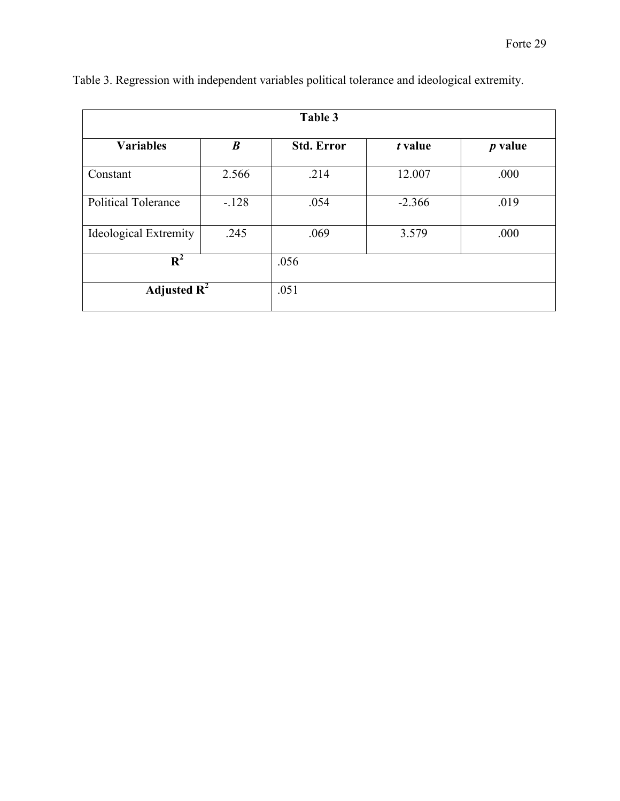| Table 3                      |                  |                   |          |           |
|------------------------------|------------------|-------------------|----------|-----------|
| <b>Variables</b>             | $\boldsymbol{B}$ | <b>Std. Error</b> | t value  | $p$ value |
| Constant                     | 2.566            | .214              | 12.007   | .000      |
| <b>Political Tolerance</b>   | $-.128$          | .054              | $-2.366$ | .019      |
| <b>Ideological Extremity</b> | .245             | .069              | 3.579    | .000      |
| $R^2$                        |                  | .056              |          |           |
| Adjusted $\mathbb{R}^2$      |                  | .051              |          |           |

|  |  | Table 3. Regression with independent variables political tolerance and ideological extremity. |
|--|--|-----------------------------------------------------------------------------------------------|
|  |  |                                                                                               |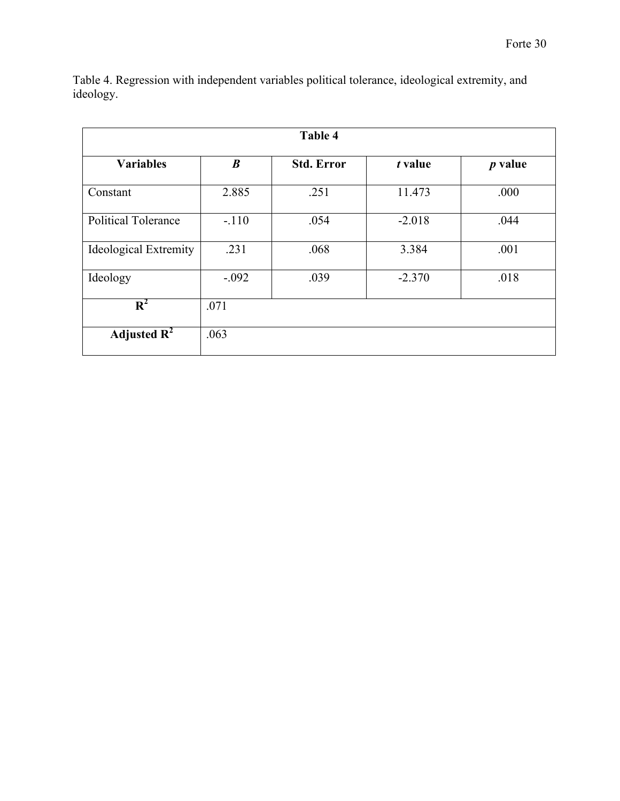| <b>Table 4</b>               |                  |                   |          |           |
|------------------------------|------------------|-------------------|----------|-----------|
| <b>Variables</b>             | $\boldsymbol{B}$ | <b>Std. Error</b> | t value  | $p$ value |
| Constant                     | 2.885            | .251              | 11.473   | .000      |
| <b>Political Tolerance</b>   | $-.110$          | .054              | $-2.018$ | .044      |
| <b>Ideological Extremity</b> | .231             | .068              | 3.384    | .001      |
| Ideology                     | $-.092$          | .039              | $-2.370$ | .018      |
| $\mathbf{R}^2$               | .071             |                   |          |           |
| Adjusted $\mathbf{R}^2$      | .063             |                   |          |           |

Table 4. Regression with independent variables political tolerance, ideological extremity, and ideology.